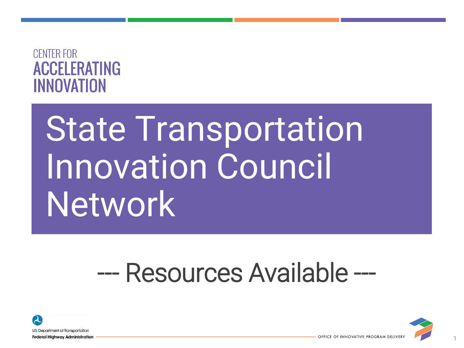### **CENTER FOR ACCELERATING** INNOVATION

# State Transportation Innovation Council **Network**

# --- Resources Available ---



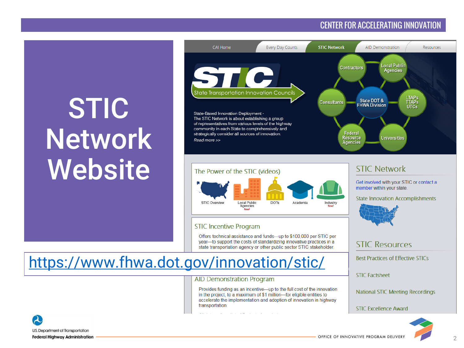### CENTER FOR ACCELERATING INNOVATION

# **STIC Network Website**



#### The Power of the STIC (videos)



#### **STIC Incentive Program**

Offers technical assistance and funds-up to \$100,000 per STIC per year-to support the costs of standardizing innovative practices in a state transportation agency or other public sector STIC stakeholder.

### <https://www.fhwa.dot.gov/innovation/stic/>

#### **AID Demonstration Program**

المتعادل والمتعارف سوائدها المتوارد

Provides funding as an incentive-up to the full cost of the innovation in the project, to a maximum of \$1 million-for eligible entities to accelerate the implementation and adoption of innovation in highway transportation.



Get involved with your STIC or contact a member within your state.

**State Innovation Accomplishments** 



#### **STIC Resources**

**Best Practices of Effective STICs** 

**STIC Factsheet** 

**National STIC Meeting Recordings** 

**STIC Excellence Award** 



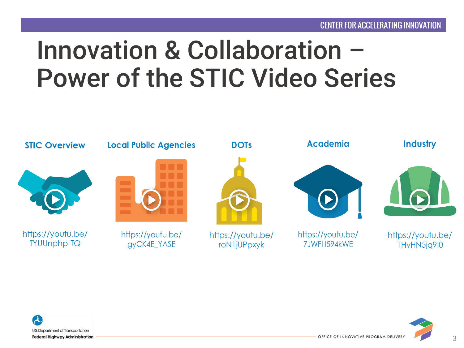# Innovation & Collaboration – Power of the STIC Video Series





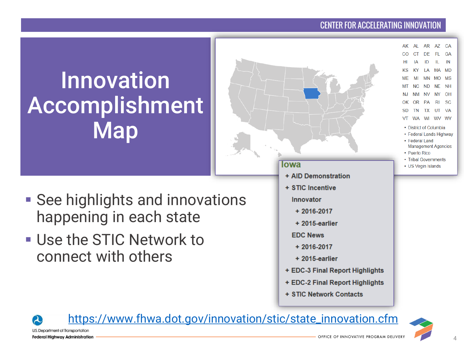### [CENTER FOR ACCELERATING INNOVATION](https://www.fhwa.dot.gov/innovation/stic/state_innovation.cfm)

 $AL$ 

CT.

IΑ ID

**KY** 

MI  $NC$ 

> **NM** NV.

OR PA RI -SC

**TN** 

• Puerto Rico • Tribal Governments

• US Virgin Islands

I A **MN** 

AR AZ CA

DE FL GA

IL.  $\blacksquare$ 

ND NF NH

TX UT VA WA WI WV WY • District of Columbia • Federal Lands Highway • Federal Land **Management Agencies** 

MA MD

MO MS

NY OH

# Innovation Accomplishment Map

- **Example 1 See highlights and innovations** happening in each state
- **. Use the STIC Network to** connect with others



[https://www.fhwa.dot.gov/innovation/stic/state\\_innovation.cfm](https://www.fhwa.dot.gov/innovation/stic/state_innovation.cfm)

U.S. Department of Transportation **Federal Highway Administration** 

 $\boldsymbol{\lambda}$ 

4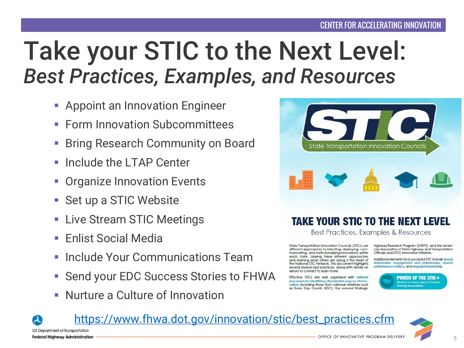# Take your STIC to the Next Level: *Best Practices, Examples, and Resources*

- **Example 1** Appoint an Innovation Engineer
- **Form Innovation Subcommittees**
- **Bring Research Community on Board**
- Include the LTAP Center
- **Organize Innovation Events**
- Set up a STIC Website
- Live Stream STIC Meetings
- Enlist Social Media
- **Include Your Communications Team**
- Send your EDC Success Stories to FHWA
- Nurture a Culture of Innovation



### **TAKE YOUR STIC TO THE NEXT LEVEL**

Best Practices, Examples & Resources

State Transportation Innovation Councils (STICs) use different approaches to selecting, deploying, communicating, and institutionalizing innovations within each State. Sharing these different approaches and learning what others are doing is the heart of the National STIC Network. This document highlights several shared best practices, along with details on whom to contact to learn more

Effective STICs are well organized with defined processes for identifying all potential sources of innovation, including those from national initiatives such as Every Day Counts (EDC), the second Strategic

Highway Research Program (SHRP2), and the American Association of State Highway and Transportation Officials (AASHTO) Innovation Initiative.

Additional elements for a successful STIC include broad stakeholder engagement and partnerships, shared performance metrics, and engaged leadership.



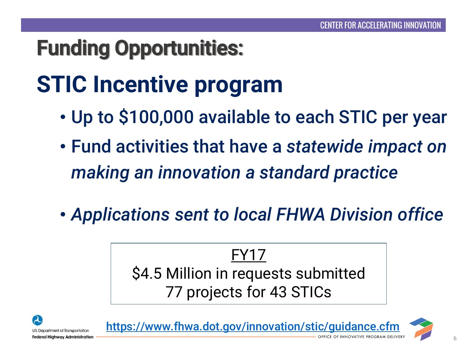## Funding Opportunities:

# **STIC Incentive program**

- Up to \$100,000 available to each STIC per year
- Fund activities that have a *statewide impact on making an innovation a standard practice*
- *Applications sent to local FHWA Division office*

FY17 \$4.5 Million in requests submitted 77 projects for 43 STICs



https://www.fhwa.dot.gov/innovation/stic/guidance.cfr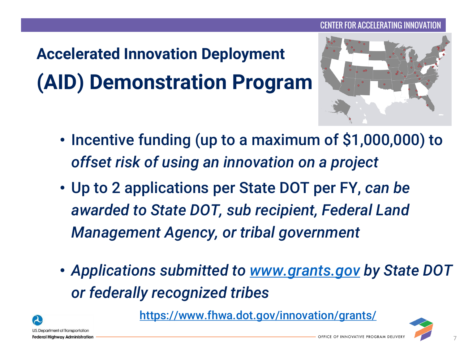## **Accelerated Innovation Deployment (AID) Demonstration Program**



- Incentive funding (up to a maximum of \$1,000,000) to *offset risk of using an innovation on a project*
- Up to 2 applications per State DOT per FY, *can be awarded to State DOT, sub recipient, Federal Land Management Agency, or tribal government*
- *Applications submitted to [www.grants.gov](http://www.grants.gov/) by State DOT or federally recognized tribes*



<https://www.fhwa.dot.gov/innovation/grants/>